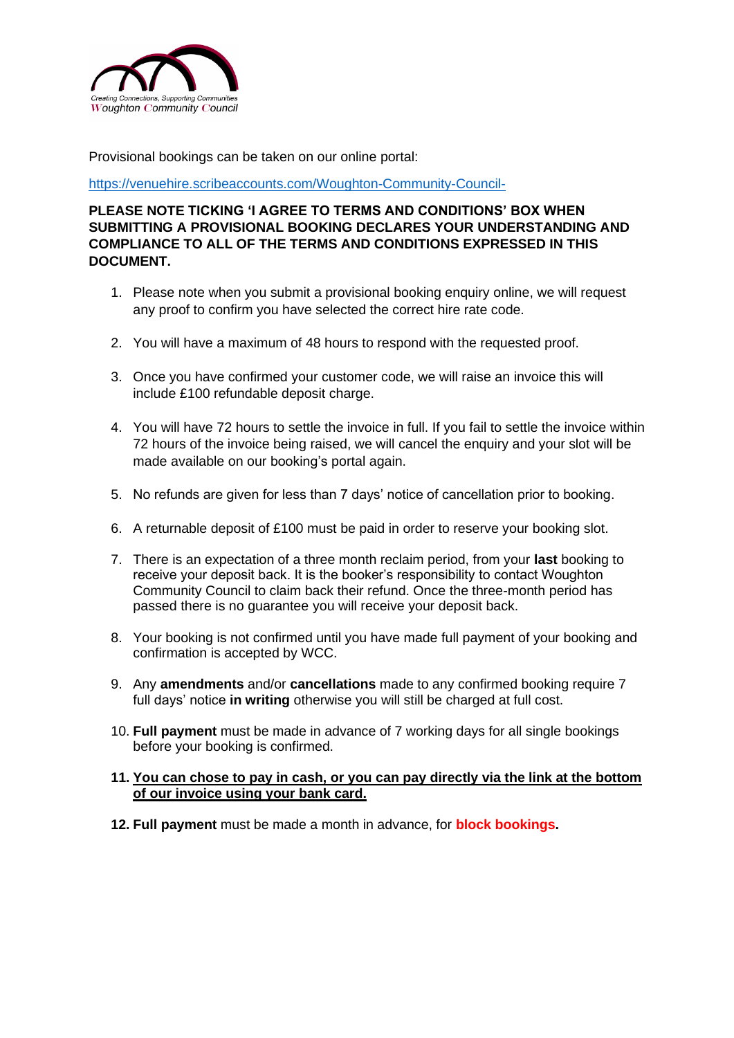

Provisional bookings can be taken on our online portal:

<https://venuehire.scribeaccounts.com/Woughton-Community-Council->

**PLEASE NOTE TICKING 'I AGREE TO TERMS AND CONDITIONS' BOX WHEN SUBMITTING A PROVISIONAL BOOKING DECLARES YOUR UNDERSTANDING AND COMPLIANCE TO ALL OF THE TERMS AND CONDITIONS EXPRESSED IN THIS DOCUMENT.**

- 1. Please note when you submit a provisional booking enquiry online, we will request any proof to confirm you have selected the correct hire rate code.
- 2. You will have a maximum of 48 hours to respond with the requested proof.
- 3. Once you have confirmed your customer code, we will raise an invoice this will include £100 refundable deposit charge.
- 4. You will have 72 hours to settle the invoice in full. If you fail to settle the invoice within 72 hours of the invoice being raised, we will cancel the enquiry and your slot will be made available on our booking's portal again.
- 5. No refunds are given for less than 7 days' notice of cancellation prior to booking.
- 6. A returnable deposit of £100 must be paid in order to reserve your booking slot.
- 7. There is an expectation of a three month reclaim period, from your **last** booking to receive your deposit back. It is the booker's responsibility to contact Woughton Community Council to claim back their refund. Once the three-month period has passed there is no guarantee you will receive your deposit back.
- 8. Your booking is not confirmed until you have made full payment of your booking and confirmation is accepted by WCC.
- 9. Any **amendments** and/or **cancellations** made to any confirmed booking require 7 full days' notice **in writing** otherwise you will still be charged at full cost.
- 10. **Full payment** must be made in advance of 7 working days for all single bookings before your booking is confirmed.

#### **11. You can chose to pay in cash, or you can pay directly via the link at the bottom of our invoice using your bank card.**

**12. Full payment** must be made a month in advance, for **block bookings.**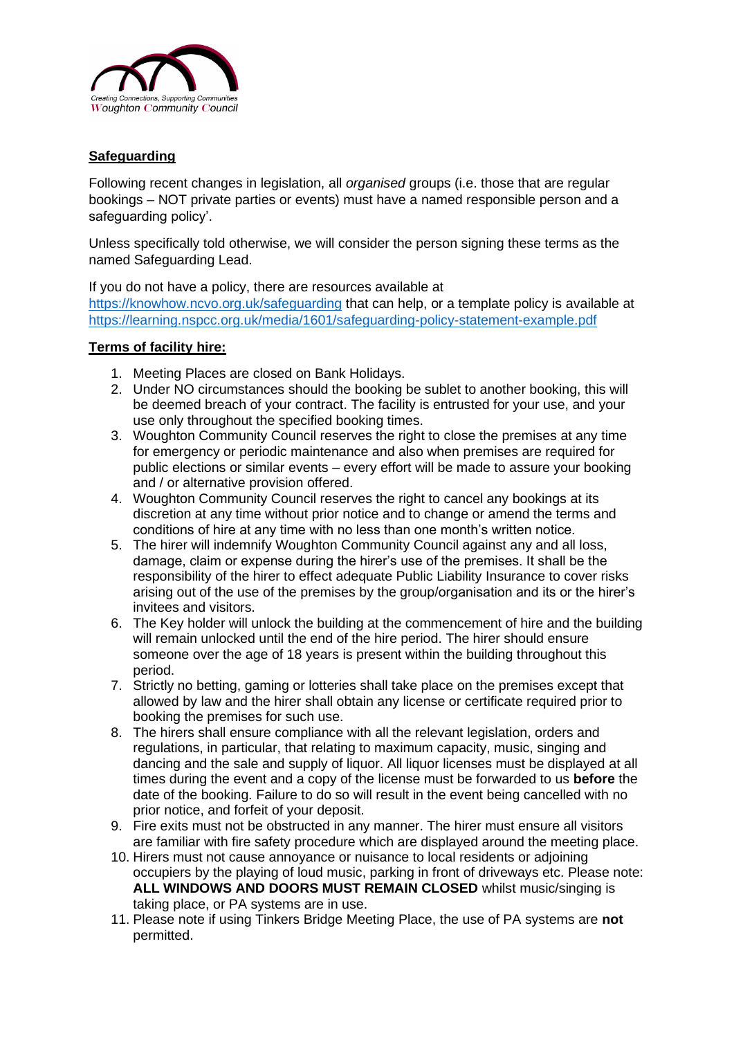

# **Safeguarding**

Following recent changes in legislation, all *organised* groups (i.e. those that are regular bookings – NOT private parties or events) must have a named responsible person and a safeguarding policy'.

Unless specifically told otherwise, we will consider the person signing these terms as the named Safeguarding Lead.

If you do not have a policy, there are resources available at

<https://knowhow.ncvo.org.uk/safeguarding> that can help, or a template policy is available at <https://learning.nspcc.org.uk/media/1601/safeguarding-policy-statement-example.pdf>

## **Terms of facility hire:**

- 1. Meeting Places are closed on Bank Holidays.
- 2. Under NO circumstances should the booking be sublet to another booking, this will be deemed breach of your contract. The facility is entrusted for your use, and your use only throughout the specified booking times.
- 3. Woughton Community Council reserves the right to close the premises at any time for emergency or periodic maintenance and also when premises are required for public elections or similar events – every effort will be made to assure your booking and / or alternative provision offered.
- 4. Woughton Community Council reserves the right to cancel any bookings at its discretion at any time without prior notice and to change or amend the terms and conditions of hire at any time with no less than one month's written notice.
- 5. The hirer will indemnify Woughton Community Council against any and all loss, damage, claim or expense during the hirer's use of the premises. It shall be the responsibility of the hirer to effect adequate Public Liability Insurance to cover risks arising out of the use of the premises by the group/organisation and its or the hirer's invitees and visitors.
- 6. The Key holder will unlock the building at the commencement of hire and the building will remain unlocked until the end of the hire period. The hirer should ensure someone over the age of 18 years is present within the building throughout this period.
- 7. Strictly no betting, gaming or lotteries shall take place on the premises except that allowed by law and the hirer shall obtain any license or certificate required prior to booking the premises for such use.
- 8. The hirers shall ensure compliance with all the relevant legislation, orders and regulations, in particular, that relating to maximum capacity, music, singing and dancing and the sale and supply of liquor. All liquor licenses must be displayed at all times during the event and a copy of the license must be forwarded to us **before** the date of the booking. Failure to do so will result in the event being cancelled with no prior notice, and forfeit of your deposit.
- 9. Fire exits must not be obstructed in any manner. The hirer must ensure all visitors are familiar with fire safety procedure which are displayed around the meeting place.
- 10. Hirers must not cause annoyance or nuisance to local residents or adjoining occupiers by the playing of loud music, parking in front of driveways etc. Please note: **ALL WINDOWS AND DOORS MUST REMAIN CLOSED** whilst music/singing is taking place, or PA systems are in use.
- 11. Please note if using Tinkers Bridge Meeting Place, the use of PA systems are **not**  permitted.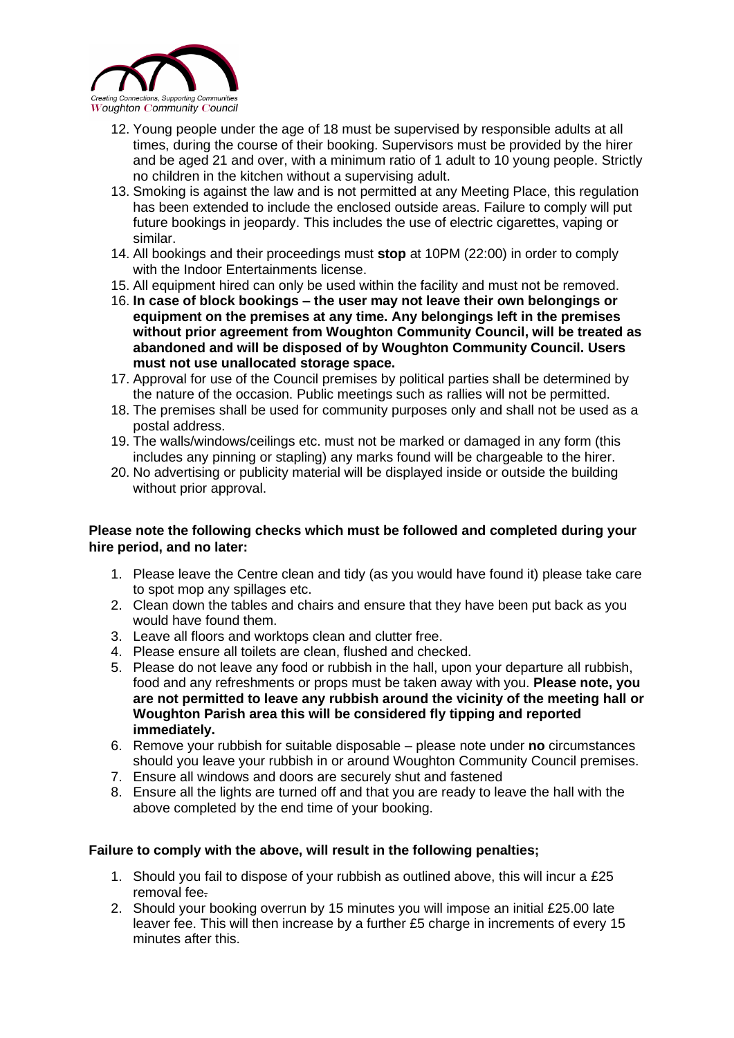

- 12. Young people under the age of 18 must be supervised by responsible adults at all times, during the course of their booking. Supervisors must be provided by the hirer and be aged 21 and over, with a minimum ratio of 1 adult to 10 young people. Strictly no children in the kitchen without a supervising adult.
- 13. Smoking is against the law and is not permitted at any Meeting Place, this regulation has been extended to include the enclosed outside areas. Failure to comply will put future bookings in jeopardy. This includes the use of electric cigarettes, vaping or similar.
- 14. All bookings and their proceedings must **stop** at 10PM (22:00) in order to comply with the Indoor Entertainments license.
- 15. All equipment hired can only be used within the facility and must not be removed.
- 16. **In case of block bookings – the user may not leave their own belongings or equipment on the premises at any time. Any belongings left in the premises without prior agreement from Woughton Community Council, will be treated as abandoned and will be disposed of by Woughton Community Council. Users must not use unallocated storage space.**
- 17. Approval for use of the Council premises by political parties shall be determined by the nature of the occasion. Public meetings such as rallies will not be permitted.
- 18. The premises shall be used for community purposes only and shall not be used as a postal address.
- 19. The walls/windows/ceilings etc. must not be marked or damaged in any form (this includes any pinning or stapling) any marks found will be chargeable to the hirer.
- 20. No advertising or publicity material will be displayed inside or outside the building without prior approval.

## **Please note the following checks which must be followed and completed during your hire period, and no later:**

- 1. Please leave the Centre clean and tidy (as you would have found it) please take care to spot mop any spillages etc.
- 2. Clean down the tables and chairs and ensure that they have been put back as you would have found them.
- 3. Leave all floors and worktops clean and clutter free.
- 4. Please ensure all toilets are clean, flushed and checked.
- 5. Please do not leave any food or rubbish in the hall, upon your departure all rubbish, food and any refreshments or props must be taken away with you. **Please note, you are not permitted to leave any rubbish around the vicinity of the meeting hall or Woughton Parish area this will be considered fly tipping and reported immediately.**
- 6. Remove your rubbish for suitable disposable please note under **no** circumstances should you leave your rubbish in or around Woughton Community Council premises.
- 7. Ensure all windows and doors are securely shut and fastened
- 8. Ensure all the lights are turned off and that you are ready to leave the hall with the above completed by the end time of your booking.

### **Failure to comply with the above, will result in the following penalties;**

- 1. Should you fail to dispose of your rubbish as outlined above, this will incur a £25 removal fee.
- 2. Should your booking overrun by 15 minutes you will impose an initial £25.00 late leaver fee. This will then increase by a further £5 charge in increments of every 15 minutes after this.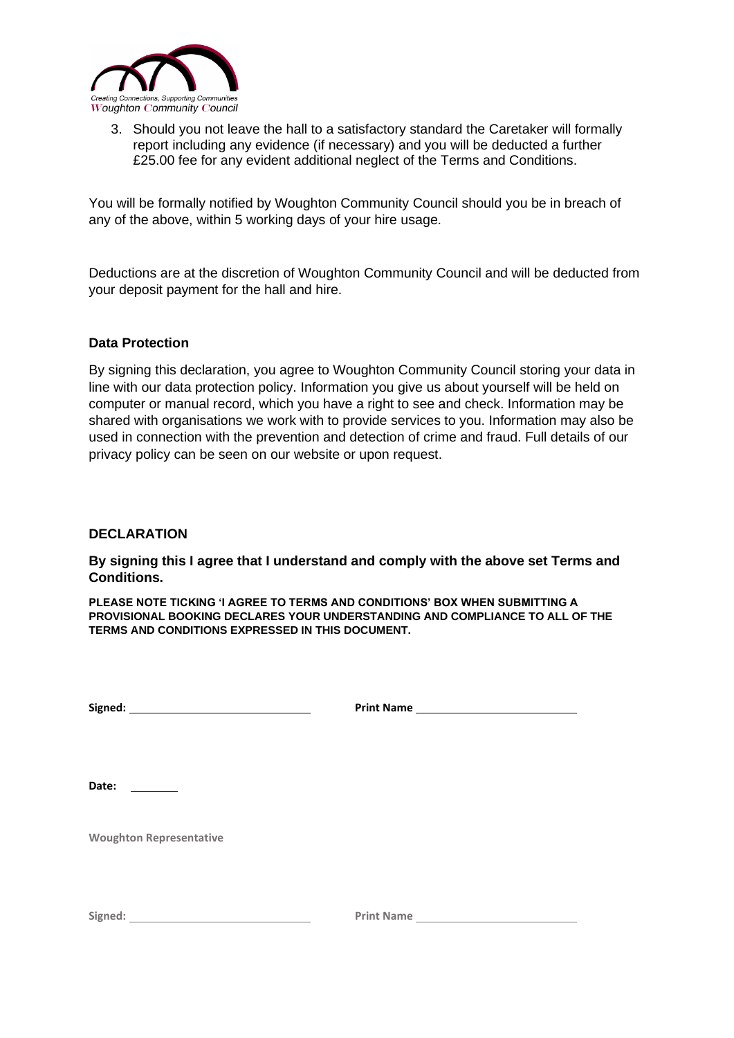

3. Should you not leave the hall to a satisfactory standard the Caretaker will formally report including any evidence (if necessary) and you will be deducted a further £25.00 fee for any evident additional neglect of the Terms and Conditions.

You will be formally notified by Woughton Community Council should you be in breach of any of the above, within 5 working days of your hire usage.

Deductions are at the discretion of Woughton Community Council and will be deducted from your deposit payment for the hall and hire.

### **Data Protection**

By signing this declaration, you agree to Woughton Community Council storing your data in line with our data protection policy. Information you give us about yourself will be held on computer or manual record, which you have a right to see and check. Information may be shared with organisations we work with to provide services to you. Information may also be used in connection with the prevention and detection of crime and fraud. Full details of our privacy policy can be seen on our website or upon request.

### **DECLARATION**

**By signing this I agree that I understand and comply with the above set Terms and Conditions.** 

**PLEASE NOTE TICKING 'I AGREE TO TERMS AND CONDITIONS' BOX WHEN SUBMITTING A PROVISIONAL BOOKING DECLARES YOUR UNDERSTANDING AND COMPLIANCE TO ALL OF THE TERMS AND CONDITIONS EXPRESSED IN THIS DOCUMENT.**

| Signed: | <b>Print Name</b> |  |
|---------|-------------------|--|
|         |                   |  |

**Date:** 

**Woughton Representative** 

**Print Name**